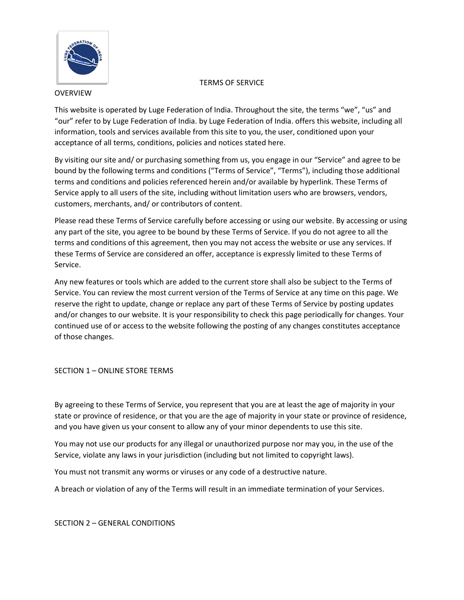

#### OVERVIEW

This website is operated by Luge Federation of India. Throughout the site, the terms "we", "us" and "our" refer to by Luge Federation of India. by Luge Federation of India. offers this website, including all information, tools and services available from this site to you, the user, conditioned upon your acceptance of all terms, conditions, policies and notices stated here.

By visiting our site and/ or purchasing something from us, you engage in our "Service" and agree to be bound by the following terms and conditions ("Terms of Service", "Terms"), including those additional terms and conditions and policies referenced herein and/or available by hyperlink. These Terms of Service apply to all users of the site, including without limitation users who are browsers, vendors, customers, merchants, and/ or contributors of content.

Please read these Terms of Service carefully before accessing or using our website. By accessing or using any part of the site, you agree to be bound by these Terms of Service. If you do not agree to all the terms and conditions of this agreement, then you may not access the website or use any services. If these Terms of Service are considered an offer, acceptance is expressly limited to these Terms of Service.

Any new features or tools which are added to the current store shall also be subject to the Terms of Service. You can review the most current version of the Terms of Service at any time on this page. We reserve the right to update, change or replace any part of these Terms of Service by posting updates and/or changes to our website. It is your responsibility to check this page periodically for changes. Your continued use of or access to the website following the posting of any changes constitutes acceptance of those changes.

# SECTION 1 – ONLINE STORE TERMS

By agreeing to these Terms of Service, you represent that you are at least the age of majority in your state or province of residence, or that you are the age of majority in your state or province of residence, and you have given us your consent to allow any of your minor dependents to use this site.

You may not use our products for any illegal or unauthorized purpose nor may you, in the use of the Service, violate any laws in your jurisdiction (including but not limited to copyright laws).

You must not transmit any worms or viruses or any code of a destructive nature.

A breach or violation of any of the Terms will result in an immediate termination of your Services.

SECTION 2 – GENERAL CONDITIONS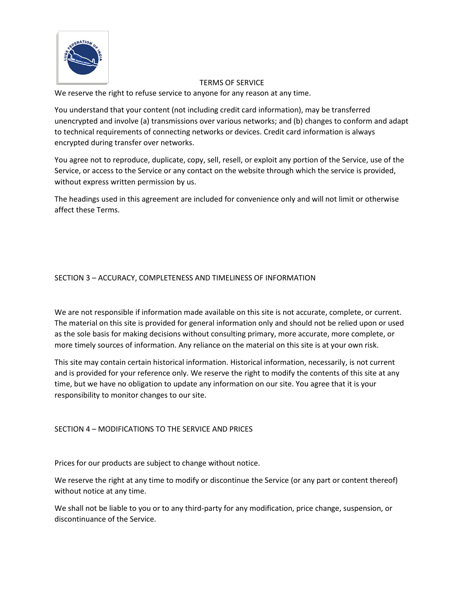

We reserve the right to refuse service to anyone for any reason at any time.

You understand that your content (not including credit card information), may be transferred unencrypted and involve (a) transmissions over various networks; and (b) changes to conform and adapt to technical requirements of connecting networks or devices. Credit card information is always encrypted during transfer over networks.

You agree not to reproduce, duplicate, copy, sell, resell, or exploit any portion of the Service, use of the Service, or access to the Service or any contact on the website through which the service is provided, without express written permission by us.

The headings used in this agreement are included for convenience only and will not limit or otherwise affect these Terms.

# SECTION 3 – ACCURACY, COMPLETENESS AND TIMELINESS OF INFORMATION

We are not responsible if information made available on this site is not accurate, complete, or current. The material on this site is provided for general information only and should not be relied upon or used as the sole basis for making decisions without consulting primary, more accurate, more complete, or more timely sources of information. Any reliance on the material on this site is at your own risk.

This site may contain certain historical information. Historical information, necessarily, is not current and is provided for your reference only. We reserve the right to modify the contents of this site at any time, but we have no obligation to update any information on our site. You agree that it is your responsibility to monitor changes to our site.

# SECTION 4 – MODIFICATIONS TO THE SERVICE AND PRICES

Prices for our products are subject to change without notice.

We reserve the right at any time to modify or discontinue the Service (or any part or content thereof) without notice at any time.

We shall not be liable to you or to any third-party for any modification, price change, suspension, or discontinuance of the Service.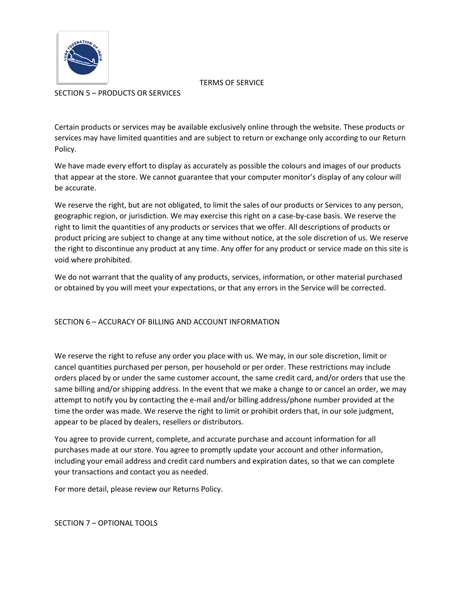

SECTION 5 – PRODUCTS OR SERVICES

Certain products or services may be available exclusively online through the website. These products or services may have limited quantities and are subject to return or exchange only according to our Return Policy.

We have made every effort to display as accurately as possible the colours and images of our products that appear at the store. We cannot guarantee that your computer monitor's display of any colour will be accurate.

We reserve the right, but are not obligated, to limit the sales of our products or Services to any person, geographic region, or jurisdiction. We may exercise this right on a case-by-case basis. We reserve the right to limit the quantities of any products or services that we offer. All descriptions of products or product pricing are subject to change at any time without notice, at the sole discretion of us. We reserve the right to discontinue any product at any time. Any offer for any product or service made on this site is void where prohibited.

We do not warrant that the quality of any products, services, information, or other material purchased or obtained by you will meet your expectations, or that any errors in the Service will be corrected.

# SECTION 6 – ACCURACY OF BILLING AND ACCOUNT INFORMATION

We reserve the right to refuse any order you place with us. We may, in our sole discretion, limit or cancel quantities purchased per person, per household or per order. These restrictions may include orders placed by or under the same customer account, the same credit card, and/or orders that use the same billing and/or shipping address. In the event that we make a change to or cancel an order, we may attempt to notify you by contacting the e-mail and/or billing address/phone number provided at the time the order was made. We reserve the right to limit or prohibit orders that, in our sole judgment, appear to be placed by dealers, resellers or distributors.

You agree to provide current, complete, and accurate purchase and account information for all purchases made at our store. You agree to promptly update your account and other information, including your email address and credit card numbers and expiration dates, so that we can complete your transactions and contact you as needed.

For more detail, please review our Returns Policy.

SECTION 7 – OPTIONAL TOOLS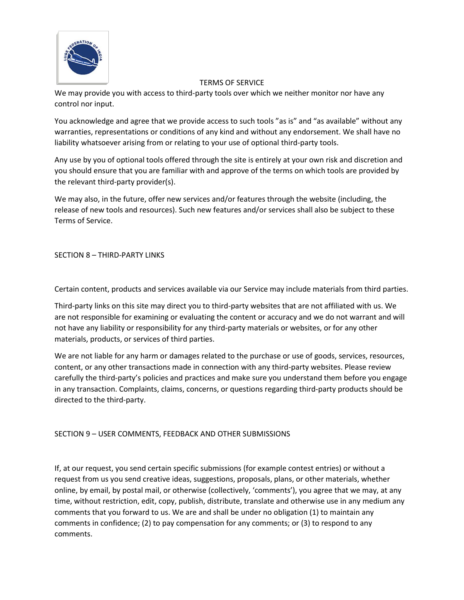

We may provide you with access to third-party tools over which we neither monitor nor have any control nor input.

You acknowledge and agree that we provide access to such tools "as is" and "as available" without any warranties, representations or conditions of any kind and without any endorsement. We shall have no liability whatsoever arising from or relating to your use of optional third-party tools.

Any use by you of optional tools offered through the site is entirely at your own risk and discretion and you should ensure that you are familiar with and approve of the terms on which tools are provided by the relevant third-party provider(s).

We may also, in the future, offer new services and/or features through the website (including, the release of new tools and resources). Such new features and/or services shall also be subject to these Terms of Service.

# SECTION 8 – THIRD-PARTY LINKS

Certain content, products and services available via our Service may include materials from third parties.

Third-party links on this site may direct you to third-party websites that are not affiliated with us. We are not responsible for examining or evaluating the content or accuracy and we do not warrant and will not have any liability or responsibility for any third-party materials or websites, or for any other materials, products, or services of third parties.

We are not liable for any harm or damages related to the purchase or use of goods, services, resources, content, or any other transactions made in connection with any third-party websites. Please review carefully the third-party's policies and practices and make sure you understand them before you engage in any transaction. Complaints, claims, concerns, or questions regarding third-party products should be directed to the third-party.

# SECTION 9 – USER COMMENTS, FEEDBACK AND OTHER SUBMISSIONS

If, at our request, you send certain specific submissions (for example contest entries) or without a request from us you send creative ideas, suggestions, proposals, plans, or other materials, whether online, by email, by postal mail, or otherwise (collectively, 'comments'), you agree that we may, at any time, without restriction, edit, copy, publish, distribute, translate and otherwise use in any medium any comments that you forward to us. We are and shall be under no obligation (1) to maintain any comments in confidence; (2) to pay compensation for any comments; or (3) to respond to any comments.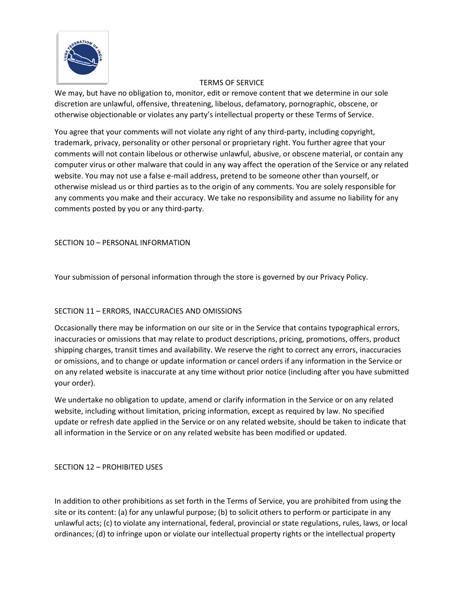

We may, but have no obligation to, monitor, edit or remove content that we determine in our sole discretion are unlawful, offensive, threatening, libelous, defamatory, pornographic, obscene, or otherwise objectionable or violates any party's intellectual property or these Terms of Service.

You agree that your comments will not violate any right of any third-party, including copyright, trademark, privacy, personality or other personal or proprietary right. You further agree that your comments will not contain libelous or otherwise unlawful, abusive, or obscene material, or contain any computer virus or other malware that could in any way affect the operation of the Service or any related website. You may not use a false e-mail address, pretend to be someone other than yourself, or otherwise mislead us or third parties as to the origin of any comments. You are solely responsible for any comments you make and their accuracy. We take no responsibility and assume no liability for any comments posted by you or any third-party.

SECTION 10 – PERSONAL INFORMATION

Your submission of personal information through the store is governed by our Privacy Policy.

# SECTION 11 – ERRORS, INACCURACIES AND OMISSIONS

Occasionally there may be information on our site or in the Service that contains typographical errors, inaccuracies or omissions that may relate to product descriptions, pricing, promotions, offers, product shipping charges, transit times and availability. We reserve the right to correct any errors, inaccuracies or omissions, and to change or update information or cancel orders if any information in the Service or on any related website is inaccurate at any time without prior notice (including after you have submitted your order).

We undertake no obligation to update, amend or clarify information in the Service or on any related website, including without limitation, pricing information, except as required by law. No specified update or refresh date applied in the Service or on any related website, should be taken to indicate that all information in the Service or on any related website has been modified or updated.

#### SECTION 12 – PROHIBITED USES

In addition to other prohibitions as set forth in the Terms of Service, you are prohibited from using the site or its content: (a) for any unlawful purpose; (b) to solicit others to perform or participate in any unlawful acts; (c) to violate any international, federal, provincial or state regulations, rules, laws, or local ordinances; (d) to infringe upon or violate our intellectual property rights or the intellectual property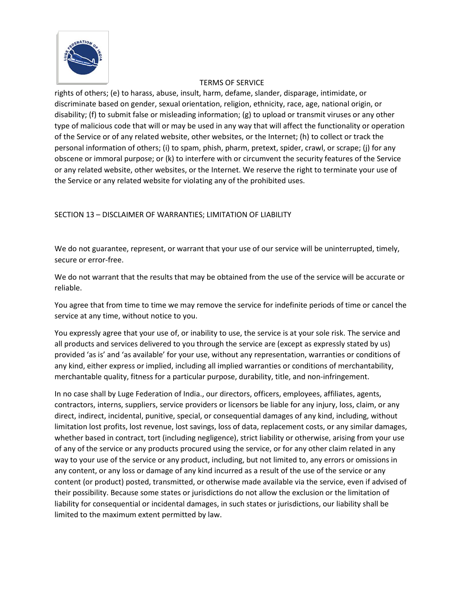

rights of others; (e) to harass, abuse, insult, harm, defame, slander, disparage, intimidate, or discriminate based on gender, sexual orientation, religion, ethnicity, race, age, national origin, or disability; (f) to submit false or misleading information; (g) to upload or transmit viruses or any other type of malicious code that will or may be used in any way that will affect the functionality or operation of the Service or of any related website, other websites, or the Internet; (h) to collect or track the personal information of others; (i) to spam, phish, pharm, pretext, spider, crawl, or scrape; (j) for any obscene or immoral purpose; or (k) to interfere with or circumvent the security features of the Service or any related website, other websites, or the Internet. We reserve the right to terminate your use of the Service or any related website for violating any of the prohibited uses.

SECTION 13 – DISCLAIMER OF WARRANTIES; LIMITATION OF LIABILITY

We do not guarantee, represent, or warrant that your use of our service will be uninterrupted, timely, secure or error-free.

We do not warrant that the results that may be obtained from the use of the service will be accurate or reliable.

You agree that from time to time we may remove the service for indefinite periods of time or cancel the service at any time, without notice to you.

You expressly agree that your use of, or inability to use, the service is at your sole risk. The service and all products and services delivered to you through the service are (except as expressly stated by us) provided 'as is' and 'as available' for your use, without any representation, warranties or conditions of any kind, either express or implied, including all implied warranties or conditions of merchantability, merchantable quality, fitness for a particular purpose, durability, title, and non-infringement.

In no case shall by Luge Federation of India., our directors, officers, employees, affiliates, agents, contractors, interns, suppliers, service providers or licensors be liable for any injury, loss, claim, or any direct, indirect, incidental, punitive, special, or consequential damages of any kind, including, without limitation lost profits, lost revenue, lost savings, loss of data, replacement costs, or any similar damages, whether based in contract, tort (including negligence), strict liability or otherwise, arising from your use of any of the service or any products procured using the service, or for any other claim related in any way to your use of the service or any product, including, but not limited to, any errors or omissions in any content, or any loss or damage of any kind incurred as a result of the use of the service or any content (or product) posted, transmitted, or otherwise made available via the service, even if advised of their possibility. Because some states or jurisdictions do not allow the exclusion or the limitation of liability for consequential or incidental damages, in such states or jurisdictions, our liability shall be limited to the maximum extent permitted by law.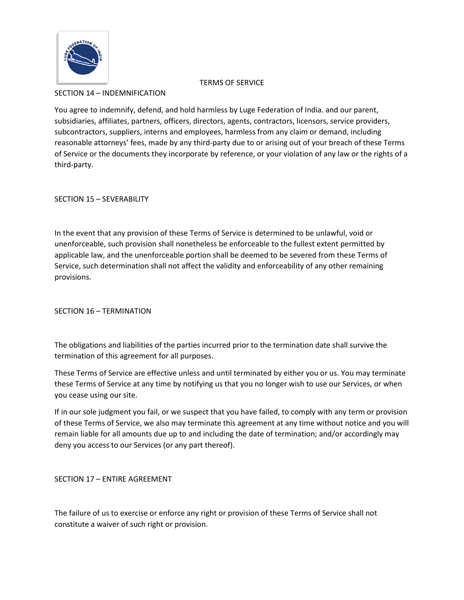

SECTION 14 – INDEMNIFICATION

You agree to indemnify, defend, and hold harmless by Luge Federation of India. and our parent, subsidiaries, affiliates, partners, officers, directors, agents, contractors, licensors, service providers, subcontractors, suppliers, interns and employees, harmless from any claim or demand, including reasonable attorneys' fees, made by any third-party due to or arising out of your breach of these Terms of Service or the documents they incorporate by reference, or your violation of any law or the rights of a third-party.

SECTION 15 – SEVERABILITY

In the event that any provision of these Terms of Service is determined to be unlawful, void or unenforceable, such provision shall nonetheless be enforceable to the fullest extent permitted by applicable law, and the unenforceable portion shall be deemed to be severed from these Terms of Service, such determination shall not affect the validity and enforceability of any other remaining provisions.

SECTION 16 – TERMINATION

The obligations and liabilities of the parties incurred prior to the termination date shall survive the termination of this agreement for all purposes.

These Terms of Service are effective unless and until terminated by either you or us. You may terminate these Terms of Service at any time by notifying us that you no longer wish to use our Services, or when you cease using our site.

If in our sole judgment you fail, or we suspect that you have failed, to comply with any term or provision of these Terms of Service, we also may terminate this agreement at any time without notice and you will remain liable for all amounts due up to and including the date of termination; and/or accordingly may deny you access to our Services (or any part thereof).

SECTION 17 – ENTIRE AGREEMENT

The failure of us to exercise or enforce any right or provision of these Terms of Service shall not constitute a waiver of such right or provision.